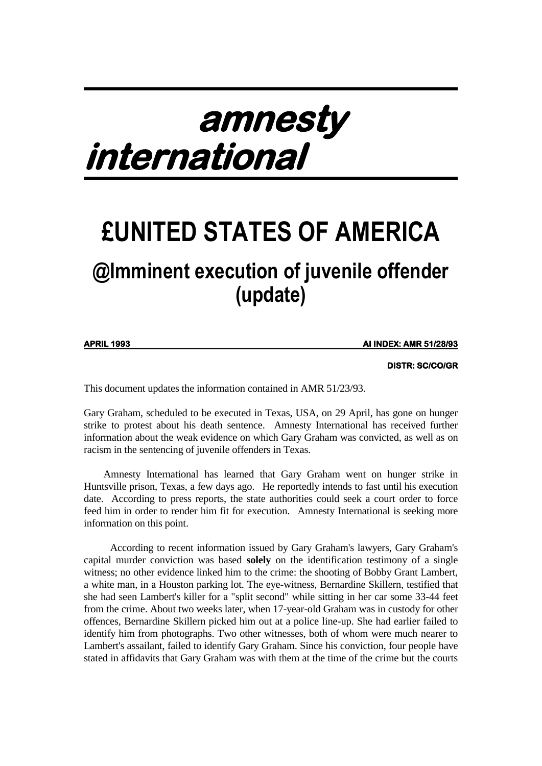# **amnesty international**

## **£UNITED STATES OF AMERICA @Imminent execution of juvenile offender (update)**

**APRIL 1993** 

**APRIL 1993 AI INDEX: AMR 51/28/93** 

 **DISTR: SC/CO/GR**

This document updates the information contained in AMR 51/23/93.

Gary Graham, scheduled to be executed in Texas, USA, on 29 April, has gone on hunger strike to protest about his death sentence. Amnesty International has received further information about the weak evidence on which Gary Graham was convicted, as well as on racism in the sentencing of juvenile offenders in Texas.

 Amnesty International has learned that Gary Graham went on hunger strike in Huntsville prison, Texas, a few days ago. He reportedly intends to fast until his execution date. According to press reports, the state authorities could seek a court order to force feed him in order to render him fit for execution. Amnesty International is seeking more information on this point.

According to recent information issued by Gary Graham's lawyers, Gary Graham's capital murder conviction was based **solely** on the identification testimony of a single witness; no other evidence linked him to the crime: the shooting of Bobby Grant Lambert, a white man, in a Houston parking lot. The eye-witness, Bernardine Skillern, testified that she had seen Lambert's killer for a "split second" while sitting in her car some 33-44 feet from the crime. About two weeks later, when 17-year-old Graham was in custody for other offences, Bernardine Skillern picked him out at a police line-up. She had earlier failed to identify him from photographs. Two other witnesses, both of whom were much nearer to Lambert's assailant, failed to identify Gary Graham. Since his conviction, four people have stated in affidavits that Gary Graham was with them at the time of the crime but the courts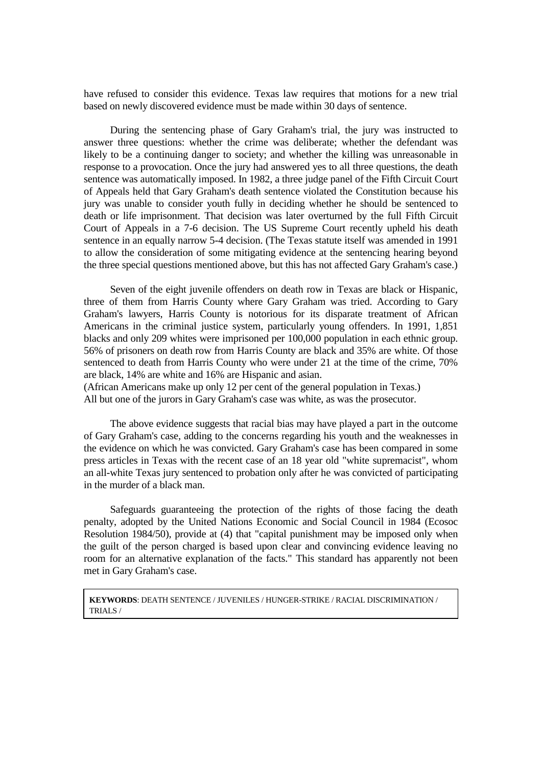have refused to consider this evidence. Texas law requires that motions for a new trial based on newly discovered evidence must be made within 30 days of sentence.

During the sentencing phase of Gary Graham's trial, the jury was instructed to answer three questions: whether the crime was deliberate; whether the defendant was likely to be a continuing danger to society; and whether the killing was unreasonable in response to a provocation. Once the jury had answered yes to all three questions, the death sentence was automatically imposed. In 1982, a three judge panel of the Fifth Circuit Court of Appeals held that Gary Graham's death sentence violated the Constitution because his jury was unable to consider youth fully in deciding whether he should be sentenced to death or life imprisonment. That decision was later overturned by the full Fifth Circuit Court of Appeals in a 7-6 decision. The US Supreme Court recently upheld his death sentence in an equally narrow 5-4 decision. (The Texas statute itself was amended in 1991 to allow the consideration of some mitigating evidence at the sentencing hearing beyond the three special questions mentioned above, but this has not affected Gary Graham's case.)

Seven of the eight juvenile offenders on death row in Texas are black or Hispanic, three of them from Harris County where Gary Graham was tried. According to Gary Graham's lawyers, Harris County is notorious for its disparate treatment of African Americans in the criminal justice system, particularly young offenders. In 1991, 1,851 blacks and only 209 whites were imprisoned per 100,000 population in each ethnic group. 56% of prisoners on death row from Harris County are black and 35% are white. Of those sentenced to death from Harris County who were under 21 at the time of the crime, 70% are black, 14% are white and 16% are Hispanic and asian.

(African Americans make up only 12 per cent of the general population in Texas.) All but one of the jurors in Gary Graham's case was white, as was the prosecutor.

The above evidence suggests that racial bias may have played a part in the outcome of Gary Graham's case, adding to the concerns regarding his youth and the weaknesses in the evidence on which he was convicted. Gary Graham's case has been compared in some press articles in Texas with the recent case of an 18 year old "white supremacist", whom an all-white Texas jury sentenced to probation only after he was convicted of participating in the murder of a black man.

Safeguards guaranteeing the protection of the rights of those facing the death penalty, adopted by the United Nations Economic and Social Council in 1984 (Ecosoc Resolution 1984/50), provide at (4) that "capital punishment may be imposed only when the guilt of the person charged is based upon clear and convincing evidence leaving no room for an alternative explanation of the facts." This standard has apparently not been met in Gary Graham's case.

**KEYWORDS**: DEATH SENTENCE / JUVENILES / HUNGER-STRIKE / RACIAL DISCRIMINATION / TRIALS /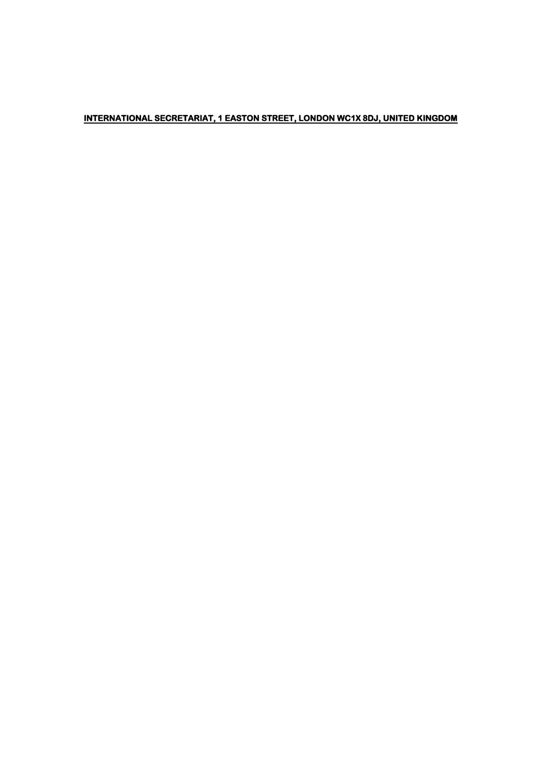### INTERNATIONAL SECRETARIAT, 1 EASTON STREET, LONDON WC1X 8DJ, UNITED KINGDOM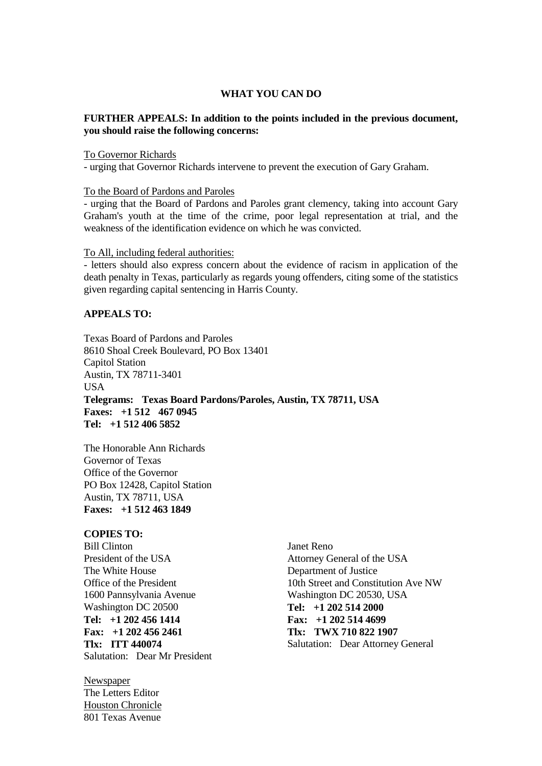#### **WHAT YOU CAN DO**

#### **FURTHER APPEALS: In addition to the points included in the previous document, you should raise the following concerns:**

To Governor Richards

- urging that Governor Richards intervene to prevent the execution of Gary Graham.

To the Board of Pardons and Paroles

- urging that the Board of Pardons and Paroles grant clemency, taking into account Gary Graham's youth at the time of the crime, poor legal representation at trial, and the weakness of the identification evidence on which he was convicted.

To All, including federal authorities:

- letters should also express concern about the evidence of racism in application of the death penalty in Texas, particularly as regards young offenders, citing some of the statistics given regarding capital sentencing in Harris County.

#### **APPEALS TO:**

Texas Board of Pardons and Paroles 8610 Shoal Creek Boulevard, PO Box 13401 Capitol Station Austin, TX 78711-3401 USA **Telegrams: Texas Board Pardons/Paroles, Austin, TX 78711, USA Faxes: +1 512 467 0945 Tel: +1 512 406 5852**

The Honorable Ann Richards Governor of Texas Office of the Governor PO Box 12428, Capitol Station Austin, TX 78711, USA **Faxes: +1 512 463 1849**

#### **COPIES TO:**

Bill Clinton President of the USA The White House Office of the President 1600 Pannsylvania Avenue Washington DC 20500 **Tel: +1 202 456 1414 Fax: +1 202 456 2461 Tlx: ITT 440074** Salutation: Dear Mr President

Newspaper The Letters Editor Houston Chronicle 801 Texas Avenue

Janet Reno Attorney General of the USA Department of Justice 10th Street and Constitution Ave NW Washington DC 20530, USA **Tel: +1 202 514 2000 Fax: +1 202 514 4699 Tlx: TWX 710 822 1907** Salutation: Dear Attorney General